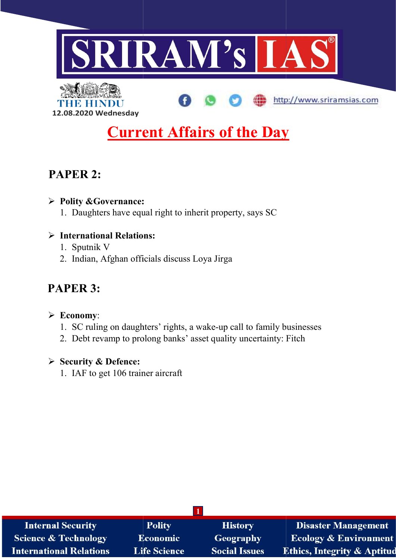

http://www.sriramsias.com



**Current Affairs of the Day** 

# PAPER 2:

### Polity &Governance: Governance:

1. Daughters have equal right to inherit property, says SC

## $\triangleright$  International Relations:

- 1. Sputnik V
- 2. Indian, Afghan officials discuss Loya Jirga

# PAPER 3:

### $\triangleright$  Economy:

- 2. Indian, Afghan officials discuss Loya Jirga<br> **APER 3:**<br> **Economy**:<br>
1. SC ruling on daughters' rights, a wake-up call to family businesses
- 2. Debt revamp to prolong banks' asset quality uncertainty: Fitch<br> **Security & Defence:**<br>
1. IAF to get 106 trainer aircraft

### $\triangleright$  Security & Defence:

1. IAF to get 106 trainer aircraft

| <b>Internal Security</b>        | <b>Polity</b>       | <b>History</b>       | <b>Disaster Management</b>             |
|---------------------------------|---------------------|----------------------|----------------------------------------|
| <b>Science &amp; Technology</b> | <b>Economic</b>     | Geography            | <b>Ecology &amp; Environment</b>       |
| <b>International Relations</b>  | <b>Life Science</b> | <b>Social Issues</b> | <b>Ethics, Integrity &amp; Aptitud</b> |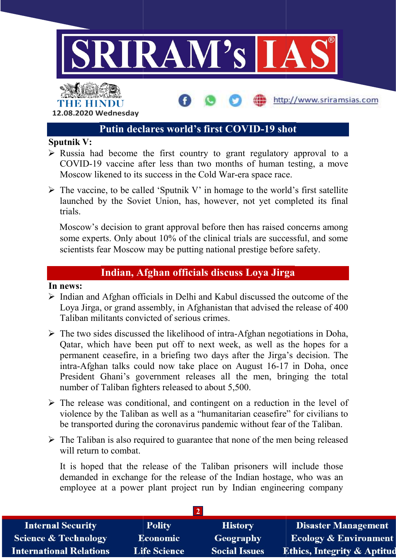

http://www.sriramsias.com



### Putin declares world's first COVID-19 shot

#### Sputnik V:

- $\triangleright$  Russia had become the first country to grant regulatory approval to a COVID-19 vaccine after less than two months of human testing, a move Moscow likened to its success in the Cold War-era space race. Moscow likened to its success in the Cold War-era space race.
- $\triangleright$  The vaccine, to be called 'Sputnik V' in homage to the world's first satellite The vaccine, to be called 'Sputnik V' in homage to the world's first satellite launched by the Soviet Union, has, however, not yet completed its final trials.

Moscow's decision to grant approval before then has raised concerns among some experts. Only about 10% of the clinical trials are successful, and some scientists fear Moscow may be putting national prestige before safety. Moscow's decision to grant approval before then has raised concerns among some experts. Only about 10% of the clinical trials are successful, and some scientists fear Moscow may be putting national prestige before safety. uccess in the Cold War-era space race.<br>
Exerce the world's first satellite<br>
t Union, has, however, not yet completed its final<br>
grant approval before then has raised concerns among<br>
uut 10% of the clinical trials are succe

## Indian, Afghan officials discuss Loya Jirga Jirga

#### In news:

- $\triangleright$  Indian and Afghan officials in Delhi and Kabul discussed the outcome of the Loya Jirga, or grand assembly, in Afghanistan that advised the release of 400 Taliban militants convicted of serious crimes. → Indian and Afghan officials in Delhi and Kabul discussed the outcome of the Loya Jirga, or grand assembly, in Afghanistan that advised the release of 400 Taliban militants convicted of serious crimes.<br>
→ The two sides d
- Qatar, which have been put off to next week, as well as the hopes for a permanent ceasefire, in a briefing two days after the Jirga's decision. The Qatar, which have been put off to next week, as well as the hopes for a permanent ceasefire, in a briefing two days after the Jirga's decision. The intra-Afghan talks could now take place on August 16-17 in Doha, once President Ghani's government releases all the men, bringing the total number of Taliban fighters released to about 5,500. number of Taliban fighters released to about 5,500.
- $\triangleright$  The release was conditional, and contingent on a reduction in the level of violence by the Taliban as well as a "humanitarian ceasefire" for civilians to be transported during the coronavirus pandemic without fear of the Taliban. he release was conditional, and contingent on a reduction in the level of iolence by the Taliban as well as a "humanitarian ceasefire" for civilians to e transported during the coronavirus pandemic without fear of the Tali
- $\triangleright$  The Taliban is also required to guarantee that none of the men being released will return to combat.

It is hoped that the release of the Taliban prisoners will include those demanded in exchange for the release of the Indian hostage, who was an employee at a power plant project run by Indian engineering company

| <b>Internal Security</b>        | <b>Polity</b>       | <b>History</b>       | <b>Disaster Management</b>             |
|---------------------------------|---------------------|----------------------|----------------------------------------|
| <b>Science &amp; Technology</b> | Economic            | Geography            | <b>Ecology &amp; Environment</b>       |
| <b>International Relations</b>  | <b>Life Science</b> | <b>Social Issues</b> | <b>Ethics, Integrity &amp; Aptitud</b> |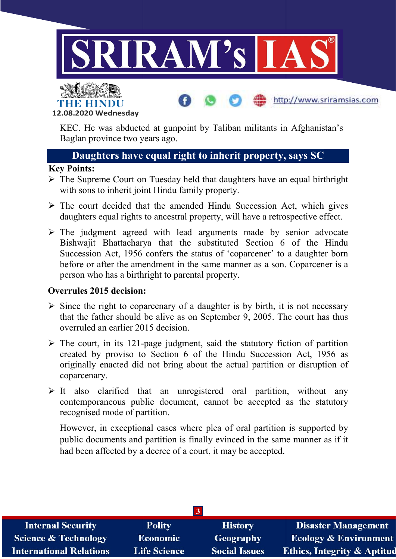



KEC. He was abducted at gunpoint by Taliban militants in Afghanistan's Baglan province two years ago.

http://www.sriramsias.com

## Daughters have equal right to inherit property, says SC

#### Key Points:

- $\triangleright$  The Supreme Court on Tuesday held that daughters have an equal birthright with sons to inherit joint Hindu family property.
- $\triangleright$  The court decided that the amended Hindu Succession Act, which gives daughters equal rights to ancestral property, will have a retrospective effect.
- $\triangleright$  The judgment agreed with lead arguments made by senior advocate Bishwajit Bhattacharya that the substituted Section 6 of the Hindu Succession Act, 1956 confers the status of 'coparcener' to a daughter born before or after the amendment in the same manner as a son. Coparcener is a person who has a birthright to parental property. with sons to inherit joint Hindu family property.<br>The court decided that the amended Hindu Succession Act, which gives<br>daughters equal rights to ancestral property, will have a retrospective effect.<br>The judgment agreed wit

### Overrules 2015 decision:

- $\triangleright$  Since the right to coparcenary of a daughter is by birth, it is not necessary that the father should be alive as on September 9, 2005. The court has thus overruled an earlier 2015 decision. e the right to coparcenary of a daughter is by birth, it is not necessary<br>the father should be alive as on September 9, 2005. The court has thus<br>ruled an earlier 2015 decision.<br>court, in its 121-page judgment, said the sta
- $\triangleright$  The court, in its 121-page created by proviso to Section 6 of the Hindu Succession Act, 1956 as originally enacted did not bring about the actual partition or disruption of coparcenary.
- $\triangleright$  It also clarified that an unregistered oral partition, without any contemporaneous public document, cannot be accepted as the statutory recognised mode of partition.

However, in exceptional cases where plea of oral partition is supported by public documents and partition is finally evinced in the same manner as if it had been affected by a decree of a court, it may be accepted. created by proviso to Section 6 of the Hindu Succession Act, 1956 as<br>originally enacted did not bring about the actual partition or disruption of<br>coparcenary.<br>It also clarified that an unregistered oral partition, without

| <b>Internal Security</b>        | <b>Polity</b>       | <b>History</b>       | <b>Disaster Management</b>             |
|---------------------------------|---------------------|----------------------|----------------------------------------|
| <b>Science &amp; Technology</b> | <b>Economic</b>     | Geography            | <b>Ecology &amp; Environment</b>       |
| <b>International Relations</b>  | <b>Life Science</b> | <b>Social Issues</b> | <b>Ethics, Integrity &amp; Aptitud</b> |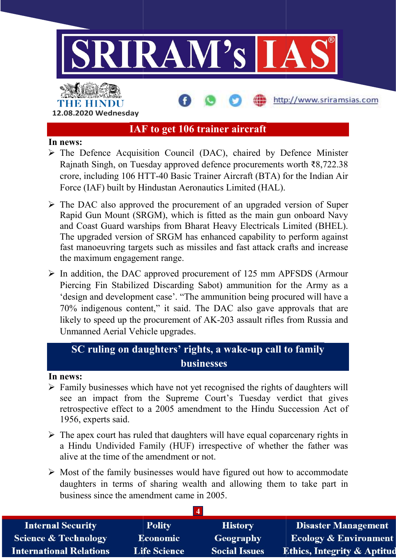

## IAF to get 106 trainer aircraft

#### In news:

- > The Defence Acquisition Council (DAC), chaired by Defence Minister Rajnath Singh, on Tuesday approved defence procurements worth ₹8,722.38 crore, including 106 HTT-40 Basic Trainer Aircraft (BTA) for the Indian Air Rajnath Singh, on Tuesday approved defence procurements worth  $\bar{\epsilon}8,722.38$ crore, including 106 HTT-40 Basic Trainer Aircraft (BTA) for the Indian Air Force (IAF) built by Hindustan Aeronautics Limited (HAL).<br>The DAC also approved the procurement of an upgraded version of Super Force (IAF) built by Hindustan Aeronautics Limited (HAL).
- $\triangleright$  The DAC also approved the procurement of an upgraded version of Super Rapid Gun Mount (SRGM), which is fitted as the main gun onboard Navy and Coast Guard warships from Bharat Heavy Electricals Limited (BHEL). The upgraded version of SRGM has enhanced capability to perform against fast manoeuvring targets such as missiles and fast attack crafts and increase the maximum engagement range. e (IAF) built by Hindustan Aeronautics Limited (HAL).<br>DAC also approved the procurement of an upgraded version of Super<br>id Gun Mount (SRGM), which is fitted as the main gun onboard Navy<br>Coast Guard warships from Bharat Hea
- $\triangleright$  In addition, the DAC approved procurement of 125 mm APFSDS (Armour Piercing Fin Stabilized Discarding Sabot) ammunition for the Army as a In addition, the DAC approved procurement of 125 mm APFSDS (Armour<br>Piercing Fin Stabilized Discarding Sabot) ammunition for the Army as a<br>'design and development case'. "The ammunition being procured will have a 70% indigenous content," it said. The DAC also gave approvals that are 70% indigenous content," it said. The DAC also gave approvals that are likely to speed up the procurement of AK-203 assault rifles from Russia and Unmanned Aerial Vehicle upgrades. Singh, on Tuesday approved defence procurements worth  $\mathfrak{F}_8$ ,722.38<br>luding 106 HTT-40 Basic Trainer Aireraft (BTA) for the Indian Air<br>Lubing 106 HTT-40 Basic Trainer Aireraft (BTA) for the Indian Air<br>2 level built by s missiles and fast<br>
2.<br>
procurement of 1<br>
ling Sabot) ammu<br>
"The ammunition<br>
id. The DAC als<br>
ent of AK-203 ass

## SC ruling on daughters' rights, a wake-up call to family businesses

#### In news:

- $\triangleright$  Family businesses which have not yet recognised the rights of daughters will see an impact from the Supreme Court's Tuesday verdict that gives retrospective effect to a 2005 amendment to the Hindu Succession Act of 1956, experts said. ily businesses which have not yet recognised the rights of daughters will<br>an impact from the Supreme Court's Tuesday verdict that gives<br>spective effect to a 2005 amendment to the Hindu Succession Act of<br>i, experts said.<br>ap
- $\triangleright$  The apex court has ruled that daughters will have equal coparcenary rights in a Hindu Undivided Family (HUF) irrespective of whether the father was alive at the time of the amendment or not.
- $\triangleright$  Most of the family businesses would have figured daughters in terms of sharing wealth and allowing them to take part in business since the amendment came in 2005.

| <b>Internal Security</b>        | <b>Polity</b>       | <b>History</b>       | <b>Disaster Management</b>             |
|---------------------------------|---------------------|----------------------|----------------------------------------|
| <b>Science &amp; Technology</b> | <b>Economic</b>     | Geography            | <b>Ecology &amp; Environment</b>       |
| <b>International Relations</b>  | <b>Life Science</b> | <b>Social Issues</b> | <b>Ethics, Integrity &amp; Aptitud</b> |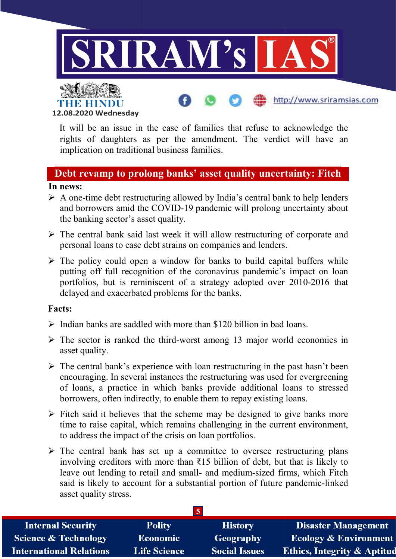



It will be an issue in the case of families that refuse to acknowledge the It will be an issue in the case of families that refuse to acknowledge the rights of daughters as per the amendment. The verdict will have an implication on traditional business families.

http://www.sriramsias.com

## Debt revamp to prolong banks' asset quality uncertainty: Fitch

#### In news:

- $\triangleright$  A one-time debt restructuring allowed by India's central bank to help lenders and borrowers amid the COVID-19 pandemic will prolong uncertainty about the banking sector's asset quality. Framilies.<br>The Covid of the Covid Services the Covid Services:<br>the time debt restructuring allowed by India's central bank to help lenders<br>borrowers amid the COVID-19 pandemic will prolong uncertainty about
- $\triangleright$  The central bank said last week it will allow restructuring of corporate and personal loans to ease debt strains on companies and lenders. The central bank said last week it will allow restructuring of corporate and<br>personal loans to ease debt strains on companies and lenders.<br>
> The policy could open a window for banks to build capital buffers while
- putting off full recognition of the coronavirus pandemic's impact on loan portfolios, but is reminiscent of a strategy adopted over 2010-2016 that delayed and exacerbated problems for the banks. portfolios, but is reminiscent of a strategy adopted over 2010-2016 that delayed and exacerbated problems for the banks

#### Facts:

- $\triangleright$  Indian banks are saddled with more than \$120 billion in bad loans.
- $\triangleright$  Indian banks are saddled with more than \$120 billion in bad loans.<br> $\triangleright$  The sector is ranked the third-worst among 13 major world economies in asset quality.
- $\triangleright$  The central bank's experience with loan restructuring in the past hasn't been The central bank's experience with loan restructuring in the past hasn't been encouraging. In several instances the restructuring was used for evergreening of loans, a practice in which banks provide additional loans to stressed borrowers, often indirectly, to enable them to repay existing loans.
- $\triangleright$  Fitch said it believes that the scheme may be designed to give banks more time to raise capital, which remains challenging in the current environment, to address the impact of the crisis on loan portfolios. borrowers, often indirectly, to enable them to repay existing loans.<br>Fitch said it believes that the scheme may be designed to give banks more<br>time to raise capital, which remains challenging in the current environment,<br>t
- $\triangleright$  The central bank has set up a committee to oversee restructuring plans involving creditors with more than  $\overline{315}$  billion of debt, but that is likely to leave out lending to retail and small- and medium-sized firms, which Fitch said is likely to account for a substantial portion of future pandemic-linked asset quality stress. per the amendment. The verdict will have an<br>business families.<br> **ng banks' asset quality uncertainty: Fitch**<br>
ring allowed by India's central bank to help lenders<br>
COVID-19 pandemic will prolong uncertainty about<br>
quality. worst among 13 major world economies in<br>with loan restructuring in the past hasn't been<br>s the restructuring was used for evergreening<br>banks provide additional loans to stressed<br>nable them to repay existing loans.<br>cheme may

| <b>Internal Security</b>        | <b>Polity</b>       | <b>History</b>       | <b>Disaster Management</b>             |
|---------------------------------|---------------------|----------------------|----------------------------------------|
| <b>Science &amp; Technology</b> | <b>Economic</b>     | Geography            | <b>Ecology &amp; Environment</b>       |
| <b>International Relations</b>  | <b>Life Science</b> | <b>Social Issues</b> | <b>Ethics, Integrity &amp; Aptitud</b> |